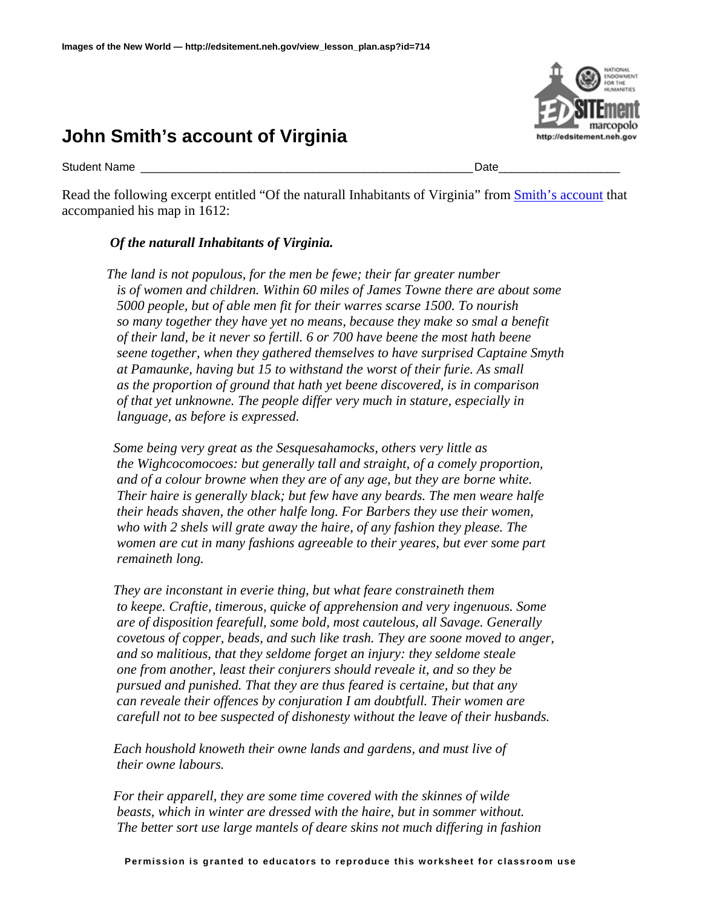## **John Smith's account of Virginia**

Student Name \_\_\_\_\_\_\_\_\_\_\_\_\_\_\_\_\_\_\_\_\_\_\_\_\_\_\_\_\_\_\_\_\_\_\_\_\_\_\_\_\_\_\_\_\_\_\_\_\_\_\_\_Date\_\_\_\_\_\_\_\_\_\_\_\_\_\_\_\_\_\_\_

Read the following excerpt entitled "Of the naturall Inhabitants of Virginia" from **Smith's account** that accompanied his map in 1612:

## *Of the naturall Inhabitants of Virginia.*

*The land is not populous, for the men be fewe; their far greater number is of women and children. Within 60 miles of James Towne there are about some 5000 people, but of able men fit for their warres scarse 1500. To nourish so many together they have yet no means, because they make so smal a benefit of their land, be it never so fertill. 6 or 700 have beene the most hath beene seene together, when they gathered themselves to have surprised Captaine Smyth at Pamaunke, having but 15 to withstand the worst of their furie. As small as the proportion of ground that hath yet beene discovered, is in comparison of that yet unknowne. The people differ very much in stature, especially in language, as before is expressed.* 

 *Some being very great as the Sesquesahamocks, others very little as the Wighcocomocoes: but generally tall and straight, of a comely proportion, and of a colour browne when they are of any age, but they are borne white. Their haire is generally black; but few have any beards. The men weare halfe their heads shaven, the other halfe long. For Barbers they use their women, who with 2 shels will grate away the haire, of any fashion they please. The women are cut in many fashions agreeable to their yeares, but ever some part remaineth long.* 

 *They are inconstant in everie thing, but what feare constraineth them to keepe. Craftie, timerous, quicke of apprehension and very ingenuous. Some are of disposition fearefull, some bold, most cautelous, all Savage. Generally covetous of copper, beads, and such like trash. They are soone moved to anger, and so malitious, that they seldome forget an injury: they seldome steale one from another, least their conjurers should reveale it, and so they be pursued and punished. That they are thus feared is certaine, but that any can reveale their offences by conjuration I am doubtfull. Their women are carefull not to bee suspected of dishonesty without the leave of their husbands.* 

 *Each houshold knoweth their owne lands and gardens, and must live of their owne labours.* 

 *For their apparell, they are some time covered with the skinnes of wilde beasts, which in winter are dressed with the haire, but in sommer without. The better sort use large mantels of deare skins not much differing in fashion* 

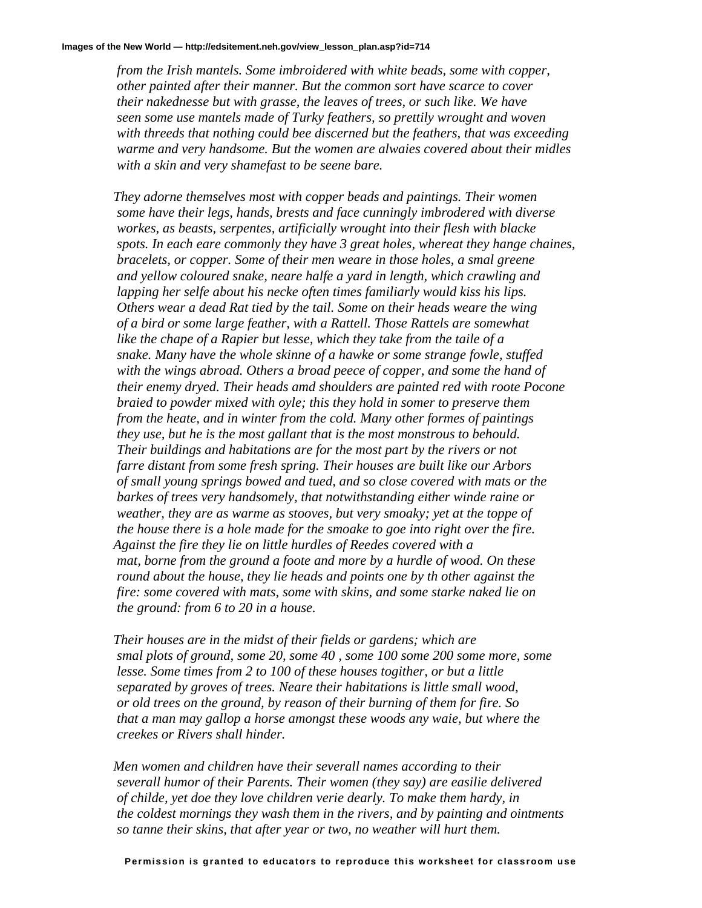*from the Irish mantels. Some imbroidered with white beads, some with copper, other painted after their manner. But the common sort have scarce to cover their nakednesse but with grasse, the leaves of trees, or such like. We have seen some use mantels made of Turky feathers, so prettily wrought and woven with threeds that nothing could bee discerned but the feathers, that was exceeding warme and very handsome. But the women are alwaies covered about their midles with a skin and very shamefast to be seene bare.* 

 *They adorne themselves most with copper beads and paintings. Their women some have their legs, hands, brests and face cunningly imbrodered with diverse workes, as beasts, serpentes, artificially wrought into their flesh with blacke spots. In each eare commonly they have 3 great holes, whereat they hange chaines, bracelets, or copper. Some of their men weare in those holes, a smal greene and yellow coloured snake, neare halfe a yard in length, which crawling and*  lapping her selfe about his necke often times familiarly would kiss his lips.  *Others wear a dead Rat tied by the tail. Some on their heads weare the wing of a bird or some large feather, with a Rattell. Those Rattels are somewhat like the chape of a Rapier but lesse, which they take from the taile of a snake. Many have the whole skinne of a hawke or some strange fowle, stuffed with the wings abroad. Others a broad peece of copper, and some the hand of their enemy dryed. Their heads amd shoulders are painted red with roote Pocone braied to powder mixed with oyle; this they hold in somer to preserve them from the heate, and in winter from the cold. Many other formes of paintings they use, but he is the most gallant that is the most monstrous to behould. Their buildings and habitations are for the most part by the rivers or not farre distant from some fresh spring. Their houses are built like our Arbors of small young springs bowed and tued, and so close covered with mats or the barkes of trees very handsomely, that notwithstanding either winde raine or weather, they are as warme as stooves, but very smoaky; yet at the toppe of the house there is a hole made for the smoake to goe into right over the fire. Against the fire they lie on little hurdles of Reedes covered with a mat, borne from the ground a foote and more by a hurdle of wood. On these round about the house, they lie heads and points one by th other against the fire: some covered with mats, some with skins, and some starke naked lie on the ground: from 6 to 20 in a house.* 

 *Their houses are in the midst of their fields or gardens; which are smal plots of ground, some 20, some 40 , some 100 some 200 some more, some lesse. Some times from 2 to 100 of these houses togither, or but a little separated by groves of trees. Neare their habitations is little small wood, or old trees on the ground, by reason of their burning of them for fire. So that a man may gallop a horse amongst these woods any waie, but where the creekes or Rivers shall hinder.* 

 *Men women and children have their severall names according to their severall humor of their Parents. Their women (they say) are easilie delivered of childe, yet doe they love children verie dearly. To make them hardy, in the coldest mornings they wash them in the rivers, and by painting and ointments so tanne their skins, that after year or two, no weather will hurt them.*